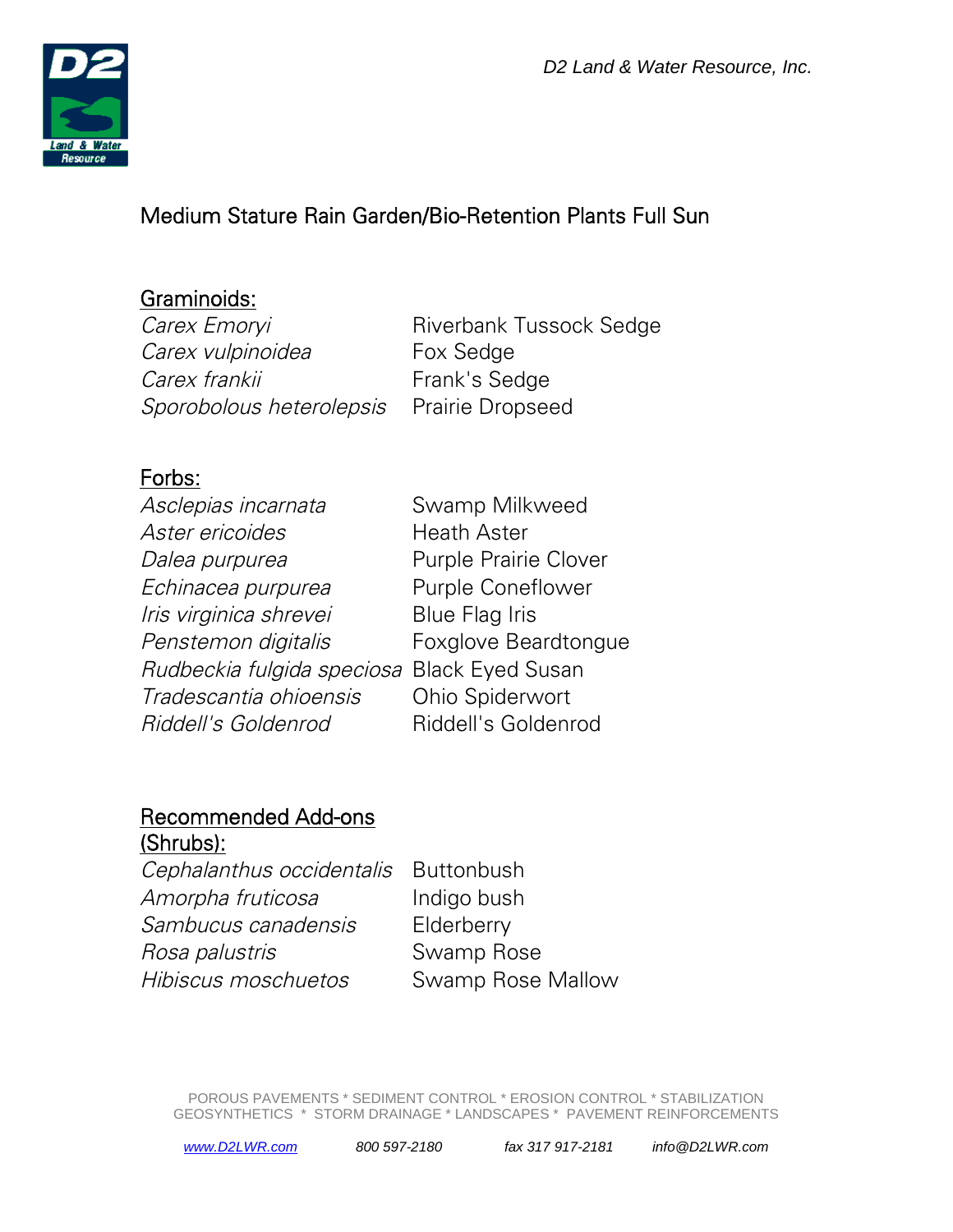

# Medium Stature Rain Garden/Bio-Retention Plants Full Sun

#### Graminoids:

Carex Emoryi Carex vulpinoidea Carex frankii Frank's Sedge Sporobolous heterolepsis Prairie Dropseed

Riverbank Tussock Sedge Fox Sedge

### Forbs:

| Asclepias incarnata                         | Swamp Milkweed               |
|---------------------------------------------|------------------------------|
| Aster ericoides                             | <b>Heath Aster</b>           |
| Dalea purpurea                              | <b>Purple Prairie Clover</b> |
| Echinacea purpurea                          | <b>Purple Coneflower</b>     |
| Iris virginica shrevei                      | <b>Blue Flag Iris</b>        |
| Penstemon digitalis                         | <b>Foxglove Beardtongue</b>  |
| Rudbeckia fulgida speciosa Black Eyed Susan |                              |
| Tradescantia ohioensis                      | <b>Ohio Spiderwort</b>       |
| Riddell's Goldenrod                         | Riddell's Goldenrod          |
|                                             |                              |

#### Recommended Add-ons (Shrubs):

| . <del>.</del>                       |                   |
|--------------------------------------|-------------------|
| Cephalanthus occidentalis Buttonbush |                   |
| Amorpha fruticosa                    | Indigo bush       |
| Sambucus canadensis                  | Elderberry        |
| Rosa palustris                       | Swamp Rose        |
| Hibiscus moschuetos                  | Swamp Rose Mallow |
|                                      |                   |

POROUS PAVEMENTS \* SEDIMENT CONTROL \* EROSION CONTROL \* STABILIZATION GEOSYNTHETICS \* STORM DRAINAGE \* LANDSCAPES \* PAVEMENT REINFORCEMENTS